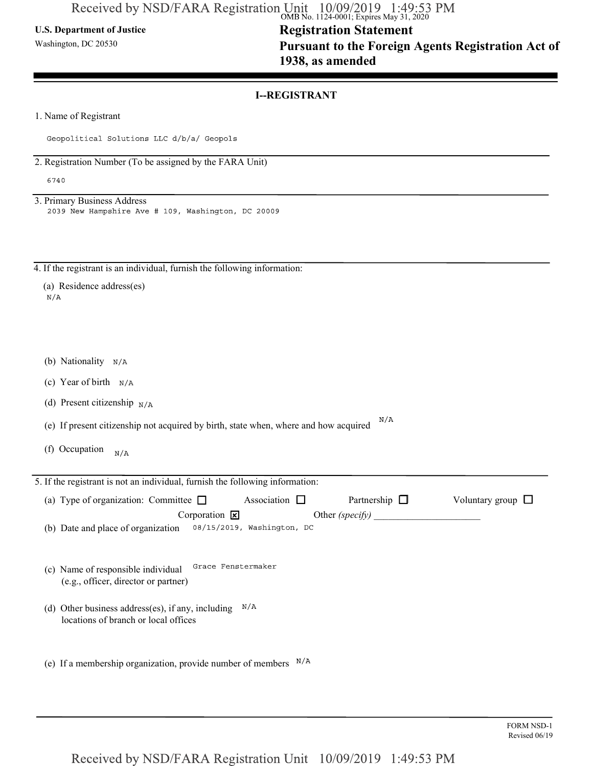### U.S. Department of Justice

Washington, DC 20530

# Registration Statement Pursuant to the Foreign Agents Registration Act of 1938, as amended

### I--REGISTRANT

1. Name of Registrant

Geopolitical Solutions LLC d/b/a/ Geopols

2. Registration Number (To be assigned by the FARA Unit)

6740

3. Primary Business Address 2039 New Hampshire Ave # 109, Washington, DC 20009

4. If the registrant is an individual, furnish the following information:

|     | (a) Residence address(es) |
|-----|---------------------------|
| N/A |                           |

- (b) Nationality N/A
- (c) Year of birth  $N/A$
- (d) Present citizenship  $N/A$

(e) If present citizenship not acquired by birth, state when, where and how acquired  $N/A$ 

(f) Occupation  $N/A$ 

| 5. If the registrant is not an individual, furnish the following information:             |                    |                    |                        |
|-------------------------------------------------------------------------------------------|--------------------|--------------------|------------------------|
| (a) Type of organization: Committee $\Box$                                                | Association $\Box$ | Partnership $\Box$ | Voluntary group $\Box$ |
| Corporation $\mathbf{\times}$                                                             |                    | Other $(specify)$  |                        |
| (b) Date and place of organization 08/15/2019, Washington, DC                             |                    |                    |                        |
| (c) Name of responsible individual<br>(e.g., officer, director or partner)                | Grace Fenstermaker |                    |                        |
| (d) Other business address(es), if any, including<br>locations of branch or local offices | N/A                |                    |                        |
| (e) If a membership organization, provide number of members                               | $\rm N/A$          |                    |                        |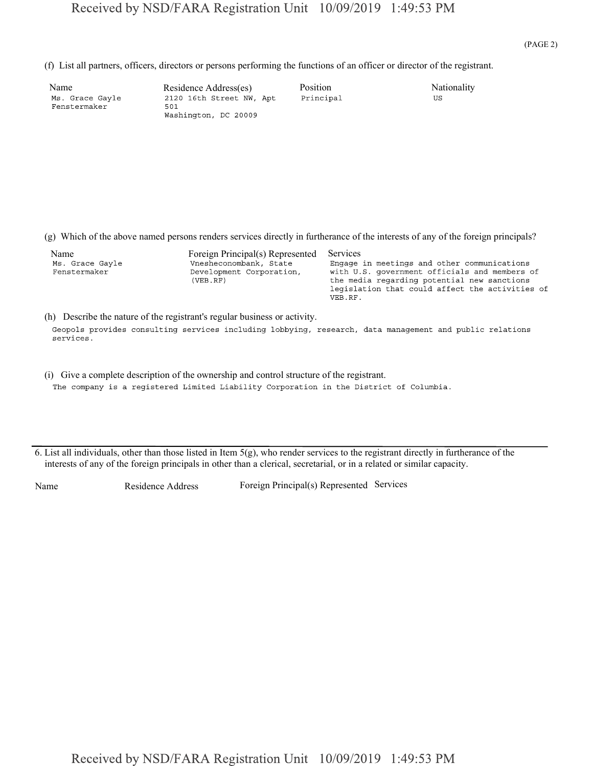| Name            | Residen |
|-----------------|---------|
| Ms. Grace Gayle | 212016  |
| Fenstermaker    | 501     |
|                 |         |

|                                         | Received by NSD/FARA Registration Unit 10/09/2019 1:49:53 PM                                                                     |                            |                                                                                                                                                                                                |       |
|-----------------------------------------|----------------------------------------------------------------------------------------------------------------------------------|----------------------------|------------------------------------------------------------------------------------------------------------------------------------------------------------------------------------------------|-------|
|                                         |                                                                                                                                  |                            |                                                                                                                                                                                                | (PAGE |
|                                         | (f) List all partners, officers, directors or persons performing the functions of an officer or director of the registrant.      |                            |                                                                                                                                                                                                |       |
| Name<br>Ms. Grace Gayle<br>Fenstermaker | Residence Address(es)<br>2120 16th Street NW, Apt<br>501<br>Washington, DC 20009                                                 | Position<br>Principal      | Nationality<br>US                                                                                                                                                                              |       |
|                                         |                                                                                                                                  |                            |                                                                                                                                                                                                |       |
|                                         |                                                                                                                                  |                            |                                                                                                                                                                                                |       |
|                                         | (g) Which of the above named persons renders services directly in furtherance of the interests of any of the foreign principals? |                            |                                                                                                                                                                                                |       |
| Name<br>Ms. Grace Gayle<br>Fenstermaker | Foreign Principal(s) Represented<br>Vnesheconombank, State<br>Development Corporation,<br>(VEB, RF)                              | <b>Services</b><br>VEB.RF. | Engage in meetings and other communications<br>with U.S. government officials and members of<br>the media regarding potential new sanctions<br>legislation that could affect the activities of |       |
|                                         | (b) Describe the nature of the registrant's regular business or activity                                                         |                            |                                                                                                                                                                                                |       |

(h) Describe the nature of the registrant's regular business or activity.

Geopols provides consulting services including lobbying, research, data management and public relations services.

- (i) Give a complete description of the ownership and control structure of the registrant. The company is a registered Limited Liability Corporation in the District of Columbia.
- 6. List all individuals, other than those listed in Item 5(g), who render services to the registrant directly in furtherance of the interests of any of the foreign principals in other than a clerical, secretarial, or in a related or similar capacity.

Name Residence Address Foreign Principal(s) Represented Services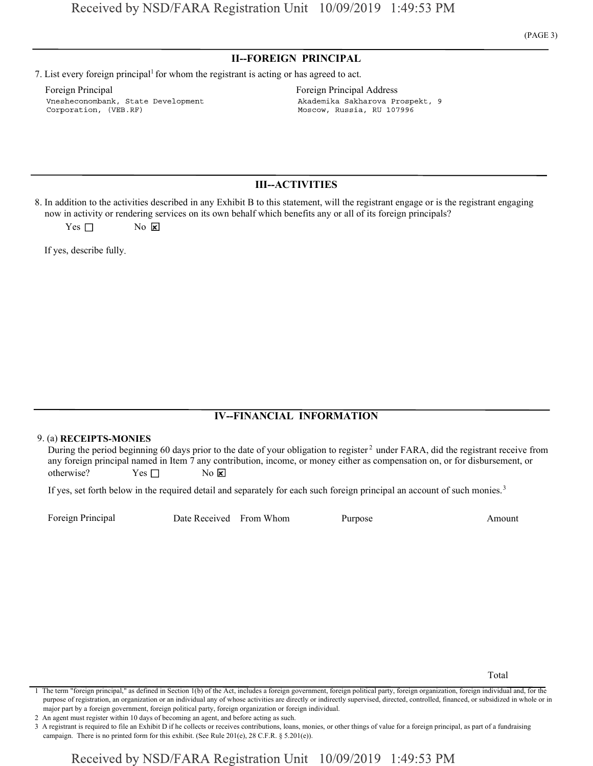### II--FOREIGN PRINCIPAL

7. List every foreign principal<sup>1</sup> for whom the registrant is acting or has agreed to act.

Foreign Principal **Foreign Principal Address** Foreign Principal Address Vnesheconombank, State Development Corporation, (VEB.RF)

Akademika Sakharova Prospekt, 9

Moscow, Russia, RU 107996

### III--ACTIVITIES

8. In addition to the activities described in any Exhibit B to this statement, will the registrant engage or is the registrant engaging now in activity or rendering services on its own behalf which benefits any or all of its foreign principals?

 $Yes \Box$  No  $X$ 

If yes, describe fully.

## IV--FINANCIAL INFORMATION

#### 9. (a) RECEIPTS-MONIES

During the period beginning 60 days prior to the date of your obligation to register<sup>2</sup> under FARA, did the registrant receive from any foreign principal named in Item 7 any contribution, income, or money either as compensation on, or for disbursement, or otherwise?  $Yes \Box$  No  $\mathbf{\times}$ **FORMATION**<br> **FORMATION**<br> **FORMATION**<br> **EDITES-MONIES**<br> **EDITES-MONIES**<br> **EDITES-MONIES**<br> **EDITES-MONIES**<br> **EDITES-MONIES**<br> **EDITES:**<br> **EDITES:**<br> **EDITES:**<br> **EDITES:**<br> **EDITES:**<br> **EDITES:**<br> **EDITES:**<br> **EDITES:**<br> **EDITES: IV-FINANCIAL INFORMATION**<br>days prior to the date of your obligation to register<sup>2</sup> under FARA, did the registrant receive from<br>tem 7 any contribution, income, or money either as compensation on, or for disbursement, or<br>N

If yes, set forth below in the required detail and separately for each such foreign principal an account of such monies.<sup>3</sup>

Total

2 An agent must register within 10 days of becoming an agent, and before acting as such.

<sup>1</sup> The term "foreign principal," as defined in Section 1(b) of the Act, includes a foreign government, foreign political party, foreign organization, foreign individual and, for the major part by a foreign government, foreign political party, foreign organization or foreign individual. purpose of registration, an organization or an individual any of whose activities are directly or indirectly supervised, directed, controlled, financed, or subsidized in whole or in

<sup>3</sup> A registrant is required to file an Exhibit D if he collects or receives contributions, loans, monies, or other things of value for a foreign principal, as part of a fundraising campaign. There is no printed form for this exhibit. (See Rule 201(e), 28 C.F.R. § 5.201(e)).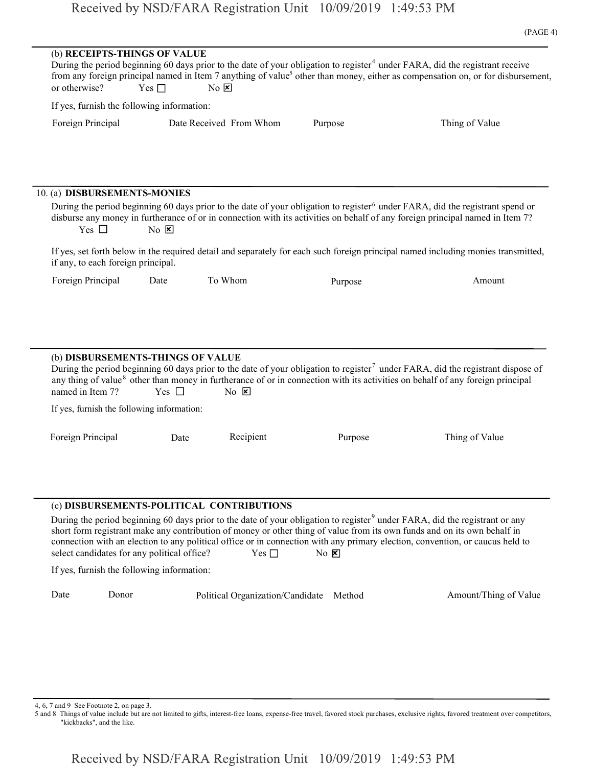| (b) RECEIPTS-THINGS OF VALUE<br>During the period beginning 60 days prior to the date of your obligation to register <sup>4</sup> under FARA, did the registrant receive<br>from any foreign principal named in Item 7 anything of value <sup>5</sup> other than money, either as compensation on, or for disbursement,<br>or otherwise?<br>Yes $\Box$<br>No E<br>If yes, furnish the following information:<br>Date Received From Whom<br>Foreign Principal<br>Thing of Value<br>Purpose<br>10. (a) DISBURSEMENTS-MONIES<br>During the period beginning 60 days prior to the date of your obligation to register <sup>6</sup> under FARA, did the registrant spend or<br>disburse any money in furtherance of or in connection with its activities on behalf of any foreign principal named in Item 7?<br>Yes $\Box$<br>No E<br>If yes, set forth below in the required detail and separately for each such foreign principal named including monies transmitted,<br>if any, to each foreign principal.<br>To Whom<br>Foreign Principal<br>Date<br>Amount<br>Purpose<br>(b) DISBURSEMENTS-THINGS OF VALUE<br>During the period beginning 60 days prior to the date of your obligation to register <sup>7</sup> under FARA, did the registrant dispose of<br>any thing of value <sup>8</sup> other than money in furtherance of or in connection with its activities on behalf of any foreign principal<br>Yes $\Box$<br>named in Item 7?<br>$\overline{N_0}$ $\overline{x}$<br>If yes, furnish the following information:<br>Recipient<br>Foreign Principal<br>Purpose<br>Thing of Value<br>Date<br>(c) DISBURSEMENTS-POLITICAL CONTRIBUTIONS<br>During the period beginning 60 days prior to the date of your obligation to register <sup>9</sup> under FARA, did the registrant or any<br>short form registrant make any contribution of money or other thing of value from its own funds and on its own behalf in<br>connection with an election to any political office or in connection with any primary election, convention, or caucus held to<br>select candidates for any political office?<br>Yes $\Box$<br>$No \nvert X$<br>If yes, furnish the following information:<br>Date<br>Donor<br>Amount/Thing of Value<br>Political Organization/Candidate Method |  |  | $(1 \text{AU} + 7)$ |
|-------------------------------------------------------------------------------------------------------------------------------------------------------------------------------------------------------------------------------------------------------------------------------------------------------------------------------------------------------------------------------------------------------------------------------------------------------------------------------------------------------------------------------------------------------------------------------------------------------------------------------------------------------------------------------------------------------------------------------------------------------------------------------------------------------------------------------------------------------------------------------------------------------------------------------------------------------------------------------------------------------------------------------------------------------------------------------------------------------------------------------------------------------------------------------------------------------------------------------------------------------------------------------------------------------------------------------------------------------------------------------------------------------------------------------------------------------------------------------------------------------------------------------------------------------------------------------------------------------------------------------------------------------------------------------------------------------------------------------------------------------------------------------------------------------------------------------------------------------------------------------------------------------------------------------------------------------------------------------------------------------------------------------------------------------------------------------------------------------------------------------------------------------------------------------------------------------------------------------------------------------------------------|--|--|---------------------|
|                                                                                                                                                                                                                                                                                                                                                                                                                                                                                                                                                                                                                                                                                                                                                                                                                                                                                                                                                                                                                                                                                                                                                                                                                                                                                                                                                                                                                                                                                                                                                                                                                                                                                                                                                                                                                                                                                                                                                                                                                                                                                                                                                                                                                                                                         |  |  |                     |
|                                                                                                                                                                                                                                                                                                                                                                                                                                                                                                                                                                                                                                                                                                                                                                                                                                                                                                                                                                                                                                                                                                                                                                                                                                                                                                                                                                                                                                                                                                                                                                                                                                                                                                                                                                                                                                                                                                                                                                                                                                                                                                                                                                                                                                                                         |  |  |                     |
|                                                                                                                                                                                                                                                                                                                                                                                                                                                                                                                                                                                                                                                                                                                                                                                                                                                                                                                                                                                                                                                                                                                                                                                                                                                                                                                                                                                                                                                                                                                                                                                                                                                                                                                                                                                                                                                                                                                                                                                                                                                                                                                                                                                                                                                                         |  |  |                     |
|                                                                                                                                                                                                                                                                                                                                                                                                                                                                                                                                                                                                                                                                                                                                                                                                                                                                                                                                                                                                                                                                                                                                                                                                                                                                                                                                                                                                                                                                                                                                                                                                                                                                                                                                                                                                                                                                                                                                                                                                                                                                                                                                                                                                                                                                         |  |  |                     |
|                                                                                                                                                                                                                                                                                                                                                                                                                                                                                                                                                                                                                                                                                                                                                                                                                                                                                                                                                                                                                                                                                                                                                                                                                                                                                                                                                                                                                                                                                                                                                                                                                                                                                                                                                                                                                                                                                                                                                                                                                                                                                                                                                                                                                                                                         |  |  |                     |
|                                                                                                                                                                                                                                                                                                                                                                                                                                                                                                                                                                                                                                                                                                                                                                                                                                                                                                                                                                                                                                                                                                                                                                                                                                                                                                                                                                                                                                                                                                                                                                                                                                                                                                                                                                                                                                                                                                                                                                                                                                                                                                                                                                                                                                                                         |  |  |                     |
|                                                                                                                                                                                                                                                                                                                                                                                                                                                                                                                                                                                                                                                                                                                                                                                                                                                                                                                                                                                                                                                                                                                                                                                                                                                                                                                                                                                                                                                                                                                                                                                                                                                                                                                                                                                                                                                                                                                                                                                                                                                                                                                                                                                                                                                                         |  |  |                     |
|                                                                                                                                                                                                                                                                                                                                                                                                                                                                                                                                                                                                                                                                                                                                                                                                                                                                                                                                                                                                                                                                                                                                                                                                                                                                                                                                                                                                                                                                                                                                                                                                                                                                                                                                                                                                                                                                                                                                                                                                                                                                                                                                                                                                                                                                         |  |  |                     |
|                                                                                                                                                                                                                                                                                                                                                                                                                                                                                                                                                                                                                                                                                                                                                                                                                                                                                                                                                                                                                                                                                                                                                                                                                                                                                                                                                                                                                                                                                                                                                                                                                                                                                                                                                                                                                                                                                                                                                                                                                                                                                                                                                                                                                                                                         |  |  |                     |
|                                                                                                                                                                                                                                                                                                                                                                                                                                                                                                                                                                                                                                                                                                                                                                                                                                                                                                                                                                                                                                                                                                                                                                                                                                                                                                                                                                                                                                                                                                                                                                                                                                                                                                                                                                                                                                                                                                                                                                                                                                                                                                                                                                                                                                                                         |  |  |                     |
|                                                                                                                                                                                                                                                                                                                                                                                                                                                                                                                                                                                                                                                                                                                                                                                                                                                                                                                                                                                                                                                                                                                                                                                                                                                                                                                                                                                                                                                                                                                                                                                                                                                                                                                                                                                                                                                                                                                                                                                                                                                                                                                                                                                                                                                                         |  |  |                     |
|                                                                                                                                                                                                                                                                                                                                                                                                                                                                                                                                                                                                                                                                                                                                                                                                                                                                                                                                                                                                                                                                                                                                                                                                                                                                                                                                                                                                                                                                                                                                                                                                                                                                                                                                                                                                                                                                                                                                                                                                                                                                                                                                                                                                                                                                         |  |  |                     |
|                                                                                                                                                                                                                                                                                                                                                                                                                                                                                                                                                                                                                                                                                                                                                                                                                                                                                                                                                                                                                                                                                                                                                                                                                                                                                                                                                                                                                                                                                                                                                                                                                                                                                                                                                                                                                                                                                                                                                                                                                                                                                                                                                                                                                                                                         |  |  |                     |
|                                                                                                                                                                                                                                                                                                                                                                                                                                                                                                                                                                                                                                                                                                                                                                                                                                                                                                                                                                                                                                                                                                                                                                                                                                                                                                                                                                                                                                                                                                                                                                                                                                                                                                                                                                                                                                                                                                                                                                                                                                                                                                                                                                                                                                                                         |  |  |                     |
|                                                                                                                                                                                                                                                                                                                                                                                                                                                                                                                                                                                                                                                                                                                                                                                                                                                                                                                                                                                                                                                                                                                                                                                                                                                                                                                                                                                                                                                                                                                                                                                                                                                                                                                                                                                                                                                                                                                                                                                                                                                                                                                                                                                                                                                                         |  |  |                     |
|                                                                                                                                                                                                                                                                                                                                                                                                                                                                                                                                                                                                                                                                                                                                                                                                                                                                                                                                                                                                                                                                                                                                                                                                                                                                                                                                                                                                                                                                                                                                                                                                                                                                                                                                                                                                                                                                                                                                                                                                                                                                                                                                                                                                                                                                         |  |  |                     |

4, 6, 7 and 9 See Footnote 2, on page 3.

5 and 8 Things of value include but are not limited to gifts, interest-free loans, expense-free travel, favored stock purchases, exclusive rights, favored treatment over competitors, "kickbacks", and the like.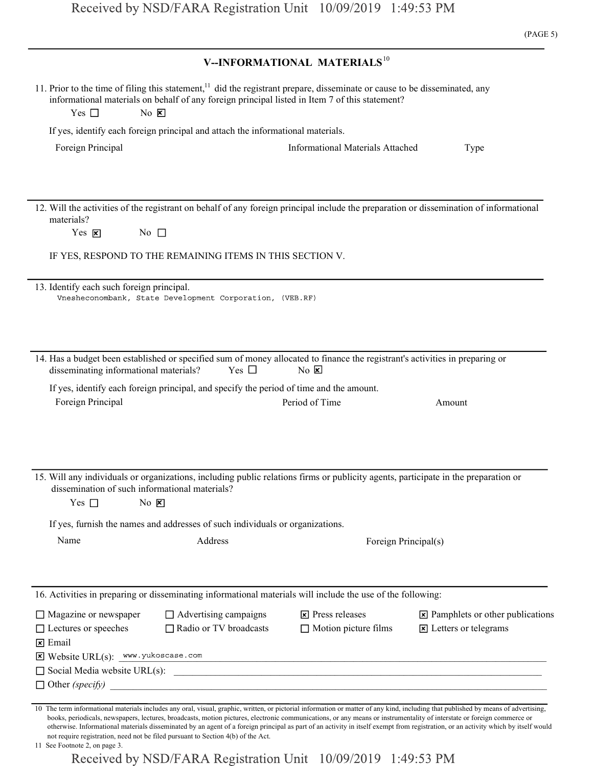| Received by NSD/FARA Registration Unit 10/09/2019 1:49:53 PM<br>(PAGE 5)<br>V--INFORMATIONAL MATERIALS <sup>10</sup><br>11. Prior to the time of filing this statement, <sup>11</sup> did the registrant prepare, disseminate or cause to be disseminated, any<br>informational materials on behalf of any foreign principal listed in Item 7 of this statement?<br>$No$ $X$<br>Yes $\square$<br>If yes, identify each foreign principal and attach the informational materials.<br>Foreign Principal<br><b>Informational Materials Attached</b><br>Type<br>12. Will the activities of the registrant on behalf of any foreign principal include the preparation or dissemination of informational<br>materials?<br>No $\Box$<br>Yes $\mathbf{\Sigma}$<br>IF YES, RESPOND TO THE REMAINING ITEMS IN THIS SECTION V.<br>13. Identify each such foreign principal.<br>Vnesheconombank, State Development Corporation, (VEB.RF)<br>14. Has a budget been established or specified sum of money allocated to finance the registrant's activities in preparing or<br>Yes $\Box$<br>disseminating informational materials?<br>$No \n  \nablaIf yes, identify each foreign principal, and specify the period of time and the amount.Foreign PrincipalPeriod of TimeAmount15. Will any individuals or organizations, including public relations firms or publicity agents, participate in the preparation ordissemination of such informational materials?Yes \squareNo XIf yes, furnish the names and addresses of such individuals or organizations.NameAddressForeign Principal(s)16. Activities in preparing or disseminating informational materials will include the use of the following:\Box Advertising campaigns\mathbf{\times} Press releases\Box Magazine or newspaper□ Radio or TV broadcasts\Box Motion picture films\triangleright Letters or telegrams\Box Lectures or speeches\times EmailE Website URL(s): www.yukoscase.com\Box Social Media website URL(s): \Box\Box Other (specify)$ |                                                                                                                                                                        |                                                                                                                                                                                    |
|---------------------------------------------------------------------------------------------------------------------------------------------------------------------------------------------------------------------------------------------------------------------------------------------------------------------------------------------------------------------------------------------------------------------------------------------------------------------------------------------------------------------------------------------------------------------------------------------------------------------------------------------------------------------------------------------------------------------------------------------------------------------------------------------------------------------------------------------------------------------------------------------------------------------------------------------------------------------------------------------------------------------------------------------------------------------------------------------------------------------------------------------------------------------------------------------------------------------------------------------------------------------------------------------------------------------------------------------------------------------------------------------------------------------------------------------------------------------------------------------------------------------------------------------------------------------------------------------------------------------------------------------------------------------------------------------------------------------------------------------------------------------------------------------------------------------------------------------------------------------------------------------------------------------------------------------------------------------------------------------------|------------------------------------------------------------------------------------------------------------------------------------------------------------------------|------------------------------------------------------------------------------------------------------------------------------------------------------------------------------------|
|                                                                                                                                                                                                                                                                                                                                                                                                                                                                                                                                                                                                                                                                                                                                                                                                                                                                                                                                                                                                                                                                                                                                                                                                                                                                                                                                                                                                                                                                                                                                                                                                                                                                                                                                                                                                                                                                                                                                                                                                   |                                                                                                                                                                        |                                                                                                                                                                                    |
|                                                                                                                                                                                                                                                                                                                                                                                                                                                                                                                                                                                                                                                                                                                                                                                                                                                                                                                                                                                                                                                                                                                                                                                                                                                                                                                                                                                                                                                                                                                                                                                                                                                                                                                                                                                                                                                                                                                                                                                                   |                                                                                                                                                                        |                                                                                                                                                                                    |
|                                                                                                                                                                                                                                                                                                                                                                                                                                                                                                                                                                                                                                                                                                                                                                                                                                                                                                                                                                                                                                                                                                                                                                                                                                                                                                                                                                                                                                                                                                                                                                                                                                                                                                                                                                                                                                                                                                                                                                                                   |                                                                                                                                                                        |                                                                                                                                                                                    |
|                                                                                                                                                                                                                                                                                                                                                                                                                                                                                                                                                                                                                                                                                                                                                                                                                                                                                                                                                                                                                                                                                                                                                                                                                                                                                                                                                                                                                                                                                                                                                                                                                                                                                                                                                                                                                                                                                                                                                                                                   |                                                                                                                                                                        |                                                                                                                                                                                    |
|                                                                                                                                                                                                                                                                                                                                                                                                                                                                                                                                                                                                                                                                                                                                                                                                                                                                                                                                                                                                                                                                                                                                                                                                                                                                                                                                                                                                                                                                                                                                                                                                                                                                                                                                                                                                                                                                                                                                                                                                   |                                                                                                                                                                        |                                                                                                                                                                                    |
|                                                                                                                                                                                                                                                                                                                                                                                                                                                                                                                                                                                                                                                                                                                                                                                                                                                                                                                                                                                                                                                                                                                                                                                                                                                                                                                                                                                                                                                                                                                                                                                                                                                                                                                                                                                                                                                                                                                                                                                                   |                                                                                                                                                                        |                                                                                                                                                                                    |
|                                                                                                                                                                                                                                                                                                                                                                                                                                                                                                                                                                                                                                                                                                                                                                                                                                                                                                                                                                                                                                                                                                                                                                                                                                                                                                                                                                                                                                                                                                                                                                                                                                                                                                                                                                                                                                                                                                                                                                                                   |                                                                                                                                                                        |                                                                                                                                                                                    |
|                                                                                                                                                                                                                                                                                                                                                                                                                                                                                                                                                                                                                                                                                                                                                                                                                                                                                                                                                                                                                                                                                                                                                                                                                                                                                                                                                                                                                                                                                                                                                                                                                                                                                                                                                                                                                                                                                                                                                                                                   |                                                                                                                                                                        |                                                                                                                                                                                    |
|                                                                                                                                                                                                                                                                                                                                                                                                                                                                                                                                                                                                                                                                                                                                                                                                                                                                                                                                                                                                                                                                                                                                                                                                                                                                                                                                                                                                                                                                                                                                                                                                                                                                                                                                                                                                                                                                                                                                                                                                   |                                                                                                                                                                        |                                                                                                                                                                                    |
|                                                                                                                                                                                                                                                                                                                                                                                                                                                                                                                                                                                                                                                                                                                                                                                                                                                                                                                                                                                                                                                                                                                                                                                                                                                                                                                                                                                                                                                                                                                                                                                                                                                                                                                                                                                                                                                                                                                                                                                                   |                                                                                                                                                                        |                                                                                                                                                                                    |
|                                                                                                                                                                                                                                                                                                                                                                                                                                                                                                                                                                                                                                                                                                                                                                                                                                                                                                                                                                                                                                                                                                                                                                                                                                                                                                                                                                                                                                                                                                                                                                                                                                                                                                                                                                                                                                                                                                                                                                                                   |                                                                                                                                                                        |                                                                                                                                                                                    |
|                                                                                                                                                                                                                                                                                                                                                                                                                                                                                                                                                                                                                                                                                                                                                                                                                                                                                                                                                                                                                                                                                                                                                                                                                                                                                                                                                                                                                                                                                                                                                                                                                                                                                                                                                                                                                                                                                                                                                                                                   |                                                                                                                                                                        |                                                                                                                                                                                    |
|                                                                                                                                                                                                                                                                                                                                                                                                                                                                                                                                                                                                                                                                                                                                                                                                                                                                                                                                                                                                                                                                                                                                                                                                                                                                                                                                                                                                                                                                                                                                                                                                                                                                                                                                                                                                                                                                                                                                                                                                   |                                                                                                                                                                        |                                                                                                                                                                                    |
|                                                                                                                                                                                                                                                                                                                                                                                                                                                                                                                                                                                                                                                                                                                                                                                                                                                                                                                                                                                                                                                                                                                                                                                                                                                                                                                                                                                                                                                                                                                                                                                                                                                                                                                                                                                                                                                                                                                                                                                                   |                                                                                                                                                                        |                                                                                                                                                                                    |
|                                                                                                                                                                                                                                                                                                                                                                                                                                                                                                                                                                                                                                                                                                                                                                                                                                                                                                                                                                                                                                                                                                                                                                                                                                                                                                                                                                                                                                                                                                                                                                                                                                                                                                                                                                                                                                                                                                                                                                                                   |                                                                                                                                                                        |                                                                                                                                                                                    |
|                                                                                                                                                                                                                                                                                                                                                                                                                                                                                                                                                                                                                                                                                                                                                                                                                                                                                                                                                                                                                                                                                                                                                                                                                                                                                                                                                                                                                                                                                                                                                                                                                                                                                                                                                                                                                                                                                                                                                                                                   |                                                                                                                                                                        |                                                                                                                                                                                    |
|                                                                                                                                                                                                                                                                                                                                                                                                                                                                                                                                                                                                                                                                                                                                                                                                                                                                                                                                                                                                                                                                                                                                                                                                                                                                                                                                                                                                                                                                                                                                                                                                                                                                                                                                                                                                                                                                                                                                                                                                   |                                                                                                                                                                        |                                                                                                                                                                                    |
|                                                                                                                                                                                                                                                                                                                                                                                                                                                                                                                                                                                                                                                                                                                                                                                                                                                                                                                                                                                                                                                                                                                                                                                                                                                                                                                                                                                                                                                                                                                                                                                                                                                                                                                                                                                                                                                                                                                                                                                                   |                                                                                                                                                                        |                                                                                                                                                                                    |
|                                                                                                                                                                                                                                                                                                                                                                                                                                                                                                                                                                                                                                                                                                                                                                                                                                                                                                                                                                                                                                                                                                                                                                                                                                                                                                                                                                                                                                                                                                                                                                                                                                                                                                                                                                                                                                                                                                                                                                                                   |                                                                                                                                                                        |                                                                                                                                                                                    |
|                                                                                                                                                                                                                                                                                                                                                                                                                                                                                                                                                                                                                                                                                                                                                                                                                                                                                                                                                                                                                                                                                                                                                                                                                                                                                                                                                                                                                                                                                                                                                                                                                                                                                                                                                                                                                                                                                                                                                                                                   |                                                                                                                                                                        |                                                                                                                                                                                    |
|                                                                                                                                                                                                                                                                                                                                                                                                                                                                                                                                                                                                                                                                                                                                                                                                                                                                                                                                                                                                                                                                                                                                                                                                                                                                                                                                                                                                                                                                                                                                                                                                                                                                                                                                                                                                                                                                                                                                                                                                   |                                                                                                                                                                        |                                                                                                                                                                                    |
|                                                                                                                                                                                                                                                                                                                                                                                                                                                                                                                                                                                                                                                                                                                                                                                                                                                                                                                                                                                                                                                                                                                                                                                                                                                                                                                                                                                                                                                                                                                                                                                                                                                                                                                                                                                                                                                                                                                                                                                                   |                                                                                                                                                                        |                                                                                                                                                                                    |
|                                                                                                                                                                                                                                                                                                                                                                                                                                                                                                                                                                                                                                                                                                                                                                                                                                                                                                                                                                                                                                                                                                                                                                                                                                                                                                                                                                                                                                                                                                                                                                                                                                                                                                                                                                                                                                                                                                                                                                                                   |                                                                                                                                                                        |                                                                                                                                                                                    |
|                                                                                                                                                                                                                                                                                                                                                                                                                                                                                                                                                                                                                                                                                                                                                                                                                                                                                                                                                                                                                                                                                                                                                                                                                                                                                                                                                                                                                                                                                                                                                                                                                                                                                                                                                                                                                                                                                                                                                                                                   |                                                                                                                                                                        |                                                                                                                                                                                    |
|                                                                                                                                                                                                                                                                                                                                                                                                                                                                                                                                                                                                                                                                                                                                                                                                                                                                                                                                                                                                                                                                                                                                                                                                                                                                                                                                                                                                                                                                                                                                                                                                                                                                                                                                                                                                                                                                                                                                                                                                   |                                                                                                                                                                        |                                                                                                                                                                                    |
|                                                                                                                                                                                                                                                                                                                                                                                                                                                                                                                                                                                                                                                                                                                                                                                                                                                                                                                                                                                                                                                                                                                                                                                                                                                                                                                                                                                                                                                                                                                                                                                                                                                                                                                                                                                                                                                                                                                                                                                                   |                                                                                                                                                                        |                                                                                                                                                                                    |
|                                                                                                                                                                                                                                                                                                                                                                                                                                                                                                                                                                                                                                                                                                                                                                                                                                                                                                                                                                                                                                                                                                                                                                                                                                                                                                                                                                                                                                                                                                                                                                                                                                                                                                                                                                                                                                                                                                                                                                                                   |                                                                                                                                                                        |                                                                                                                                                                                    |
|                                                                                                                                                                                                                                                                                                                                                                                                                                                                                                                                                                                                                                                                                                                                                                                                                                                                                                                                                                                                                                                                                                                                                                                                                                                                                                                                                                                                                                                                                                                                                                                                                                                                                                                                                                                                                                                                                                                                                                                                   |                                                                                                                                                                        |                                                                                                                                                                                    |
|                                                                                                                                                                                                                                                                                                                                                                                                                                                                                                                                                                                                                                                                                                                                                                                                                                                                                                                                                                                                                                                                                                                                                                                                                                                                                                                                                                                                                                                                                                                                                                                                                                                                                                                                                                                                                                                                                                                                                                                                   |                                                                                                                                                                        |                                                                                                                                                                                    |
|                                                                                                                                                                                                                                                                                                                                                                                                                                                                                                                                                                                                                                                                                                                                                                                                                                                                                                                                                                                                                                                                                                                                                                                                                                                                                                                                                                                                                                                                                                                                                                                                                                                                                                                                                                                                                                                                                                                                                                                                   |                                                                                                                                                                        | $\boxtimes$ Pamphlets or other publications                                                                                                                                        |
|                                                                                                                                                                                                                                                                                                                                                                                                                                                                                                                                                                                                                                                                                                                                                                                                                                                                                                                                                                                                                                                                                                                                                                                                                                                                                                                                                                                                                                                                                                                                                                                                                                                                                                                                                                                                                                                                                                                                                                                                   |                                                                                                                                                                        |                                                                                                                                                                                    |
|                                                                                                                                                                                                                                                                                                                                                                                                                                                                                                                                                                                                                                                                                                                                                                                                                                                                                                                                                                                                                                                                                                                                                                                                                                                                                                                                                                                                                                                                                                                                                                                                                                                                                                                                                                                                                                                                                                                                                                                                   |                                                                                                                                                                        |                                                                                                                                                                                    |
|                                                                                                                                                                                                                                                                                                                                                                                                                                                                                                                                                                                                                                                                                                                                                                                                                                                                                                                                                                                                                                                                                                                                                                                                                                                                                                                                                                                                                                                                                                                                                                                                                                                                                                                                                                                                                                                                                                                                                                                                   |                                                                                                                                                                        |                                                                                                                                                                                    |
|                                                                                                                                                                                                                                                                                                                                                                                                                                                                                                                                                                                                                                                                                                                                                                                                                                                                                                                                                                                                                                                                                                                                                                                                                                                                                                                                                                                                                                                                                                                                                                                                                                                                                                                                                                                                                                                                                                                                                                                                   |                                                                                                                                                                        |                                                                                                                                                                                    |
|                                                                                                                                                                                                                                                                                                                                                                                                                                                                                                                                                                                                                                                                                                                                                                                                                                                                                                                                                                                                                                                                                                                                                                                                                                                                                                                                                                                                                                                                                                                                                                                                                                                                                                                                                                                                                                                                                                                                                                                                   | books, periodicals, newspapers, lectures, broadcasts, motion pictures, electronic communications, or any means or instrumentality of interstate or foreign commerce or | 10 The term informational materials includes any oral, visual, graphic, written, or pictorial information or matter of any kind, including that published by means of advertising, |
| otherwise. Informational materials disseminated by an agent of a foreign principal as part of an activity in itself exempt from registration, or an activity which by itself would<br>not require registration, need not be filed pursuant to Section 4(b) of the Act.<br>11 See Footnote 2, on page 3.                                                                                                                                                                                                                                                                                                                                                                                                                                                                                                                                                                                                                                                                                                                                                                                                                                                                                                                                                                                                                                                                                                                                                                                                                                                                                                                                                                                                                                                                                                                                                                                                                                                                                           |                                                                                                                                                                        |                                                                                                                                                                                    |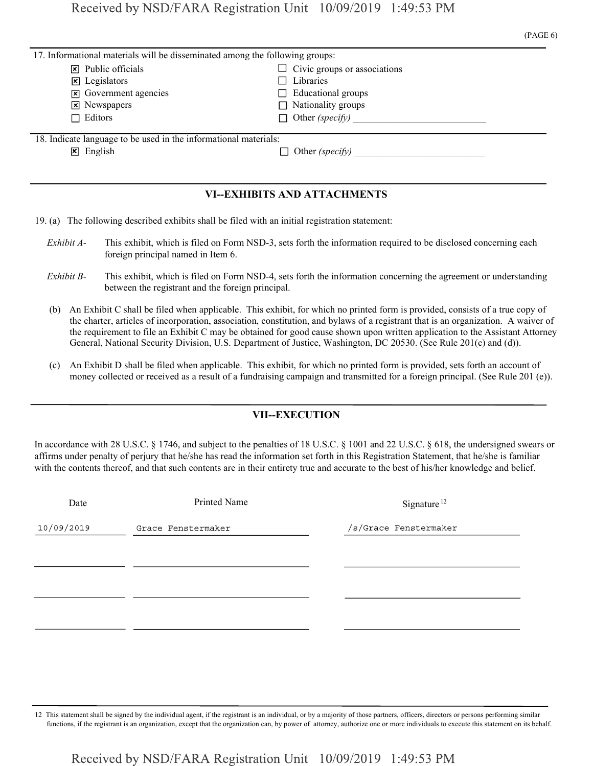|                                                                              | (PAGE 6)                            |  |
|------------------------------------------------------------------------------|-------------------------------------|--|
| 17. Informational materials will be disseminated among the following groups: |                                     |  |
| $\triangleright$ Public officials                                            | $\Box$ Civic groups or associations |  |
| ET T 1 1 2                                                                   | $\Box$ ri i                         |  |

| $\triangleright$ Public officials                                | $\Box$ Civic groups or associations |
|------------------------------------------------------------------|-------------------------------------|
| $\mathbf{\times}$ Legislators                                    | $\Box$ Libraries                    |
| $ \vec{x} $ Government agencies                                  | $\Box$ Educational groups           |
| $\mathbf{\times}$ Newspapers                                     | $\Box$ Nationality groups           |
| $\Box$ Editors                                                   | $\Box$ Other (specify)              |
|                                                                  |                                     |
| 18. Indicate language to be used in the informational materials: |                                     |
| $\mathbf{X}$ English                                             | $\Box$ Other (specify)              |

### VI--EXHIBITS AND ATTACHMENTS

- 19. (a) The following described exhibits shall be filed with an initial registration statement:
	- Exhibit A- This exhibit, which is filed on Form NSD-3, sets forth the information required to be disclosed concerning each foreign principal named in Item 6.
	- Exhibit B- This exhibit, which is filed on Form NSD-4, sets forth the information concerning the agreement or understanding between the registrant and the foreign principal.
	- (b) An Exhibit C shall be filed when applicable. This exhibit, for which no printed form is provided, consists of a true copy of the charter, articles of incorporation, association, constitution, and bylaws of a registrant that is an organization. A waiver of the requirement to file an Exhibit C may be obtained for good cause shown upon written application to the Assistant Attorney General, National Security Division, U.S. Department of Justice, Washington, DC 20530. (See Rule 201(c) and (d)).
	- (c) An Exhibit D shall be filed when applicable. This exhibit, for which no printed form is provided, sets forth an account of money collected or received as a result of a fundraising campaign and transmitted for a foreign principal. (See Rule 201 (e)).

### VII--EXECUTION

In accordance with 28 U.S.C. § 1746, and subject to the penalties of 18 U.S.C. § 1001 and 22 U.S.C. § 618, the undersigned swears or affirms under penalty of perjury that he/she has read the information set forth in this Registration Statement, that he/she is familiar with the contents thereof, and that such contents are in their entirety true and accurate to the best of his/her knowledge and belief.

| Date       | Printed Name       | Signature <sup>12</sup> |
|------------|--------------------|-------------------------|
| 10/09/2019 | Grace Fenstermaker | /s/Grace Fenstermaker   |
|            |                    |                         |
|            |                    |                         |
|            |                    |                         |
|            |                    |                         |
|            |                    |                         |

12 This statement shall be signed by the individual agent, if the registrant is an individual, or by a majority of those partners, officers, directors or persons performing similar functions, if the registrant is an organization, except that the organization can, by power of attorney, authorize one or more individuals to execute this statement on its behalf.